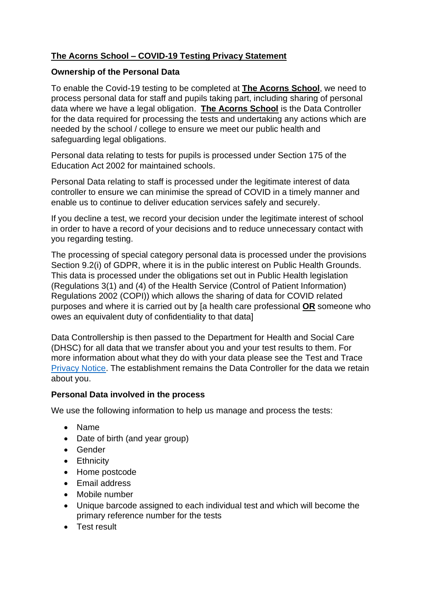# **The Acorns School – COVID-19 Testing Privacy Statement**

## **Ownership of the Personal Data**

To enable the Covid-19 testing to be completed at **The Acorns School**, we need to process personal data for staff and pupils taking part, including sharing of personal data where we have a legal obligation. **The Acorns School** is the Data Controller for the data required for processing the tests and undertaking any actions which are needed by the school / college to ensure we meet our public health and safeguarding legal obligations.

Personal data relating to tests for pupils is processed under Section 175 of the Education Act 2002 for maintained schools.

Personal Data relating to staff is processed under the legitimate interest of data controller to ensure we can minimise the spread of COVID in a timely manner and enable us to continue to deliver education services safely and securely.

If you decline a test, we record your decision under the legitimate interest of school in order to have a record of your decisions and to reduce unnecessary contact with you regarding testing.

The processing of special category personal data is processed under the provisions Section 9.2(i) of GDPR, where it is in the public interest on Public Health Grounds. This data is processed under the obligations set out in Public Health legislation (Regulations 3(1) and (4) of the Health Service (Control of Patient Information) Regulations 2002 (COPI)) which allows the sharing of data for COVID related purposes and where it is carried out by [a health care professional **OR** someone who owes an equivalent duty of confidentiality to that data]

Data Controllership is then passed to the Department for Health and Social Care (DHSC) for all data that we transfer about you and your test results to them. For more information about what they do with your data please see the Test and Trace [Privacy Notice.](https://contact-tracing.phe.gov.uk/help/privacy-notice) The establishment remains the Data Controller for the data we retain about you.

## **Personal Data involved in the process**

We use the following information to help us manage and process the tests:

- Name
- Date of birth (and year group)
- Gender
- Ethnicity
- Home postcode
- Email address
- Mobile number
- Unique barcode assigned to each individual test and which will become the primary reference number for the tests
- Test result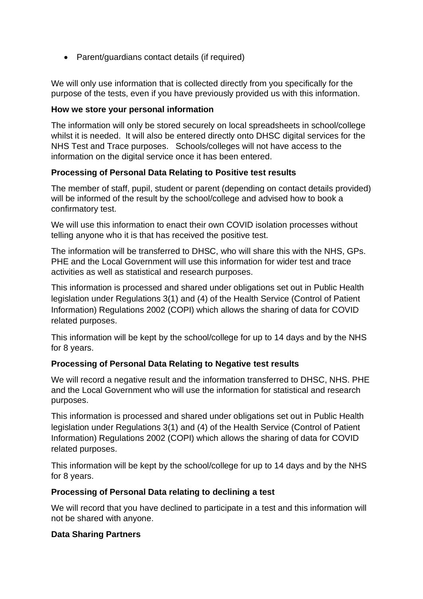• Parent/guardians contact details (if required)

We will only use information that is collected directly from you specifically for the purpose of the tests, even if you have previously provided us with this information.

#### **How we store your personal information**

The information will only be stored securely on local spreadsheets in school/college whilst it is needed. It will also be entered directly onto DHSC digital services for the NHS Test and Trace purposes. Schools/colleges will not have access to the information on the digital service once it has been entered.

## **Processing of Personal Data Relating to Positive test results**

The member of staff, pupil, student or parent (depending on contact details provided) will be informed of the result by the school/college and advised how to book a confirmatory test.

We will use this information to enact their own COVID isolation processes without telling anyone who it is that has received the positive test.

The information will be transferred to DHSC, who will share this with the NHS, GPs. PHE and the Local Government will use this information for wider test and trace activities as well as statistical and research purposes.

This information is processed and shared under obligations set out in Public Health legislation under Regulations 3(1) and (4) of the Health Service (Control of Patient Information) Regulations 2002 (COPI) which allows the sharing of data for COVID related purposes.

This information will be kept by the school/college for up to 14 days and by the NHS for 8 years.

## **Processing of Personal Data Relating to Negative test results**

We will record a negative result and the information transferred to DHSC, NHS. PHE and the Local Government who will use the information for statistical and research purposes.

This information is processed and shared under obligations set out in Public Health legislation under Regulations 3(1) and (4) of the Health Service (Control of Patient Information) Regulations 2002 (COPI) which allows the sharing of data for COVID related purposes.

This information will be kept by the school/college for up to 14 days and by the NHS for 8 years.

## **Processing of Personal Data relating to declining a test**

We will record that you have declined to participate in a test and this information will not be shared with anyone.

## **Data Sharing Partners**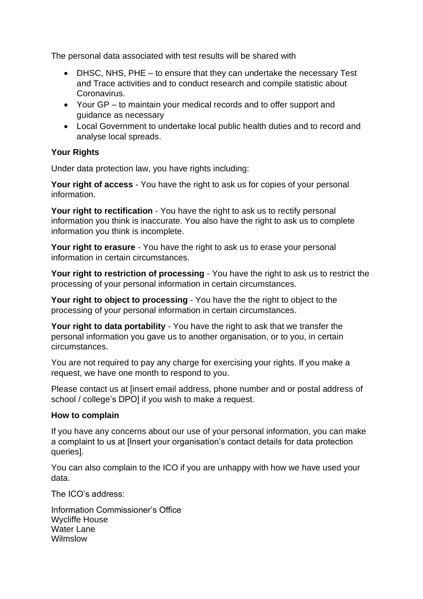The personal data associated with test results will be shared with

- DHSC, NHS, PHE to ensure that they can undertake the necessary Test and Trace activities and to conduct research and compile statistic about Coronavirus.
- Your GP to maintain your medical records and to offer support and guidance as necessary
- Local Government to undertake local public health duties and to record and analyse local spreads.

#### **Your Rights**

Under data protection law, you have rights including:

**Your right of access** - You have the right to ask us for copies of your personal information.

**Your right to rectification** - You have the right to ask us to rectify personal information you think is inaccurate. You also have the right to ask us to complete information you think is incomplete.

**Your right to erasure** - You have the right to ask us to erase your personal information in certain circumstances.

**Your right to restriction of processing** - You have the right to ask us to restrict the processing of your personal information in certain circumstances.

**Your right to object to processing** - You have the the right to object to the processing of your personal information in certain circumstances.

**Your right to data portability** - You have the right to ask that we transfer the personal information you gave us to another organisation, or to you, in certain circumstances.

You are not required to pay any charge for exercising your rights. If you make a request, we have one month to respond to you.

Please contact us at [insert email address, phone number and or postal address of school / college's DPO] if you wish to make a request.

#### **How to complain**

If you have any concerns about our use of your personal information, you can make a complaint to us at [Insert your organisation's contact details for data protection queries].

You can also complain to the ICO if you are unhappy with how we have used your data.

The ICO's address:

Information Commissioner's Office Wycliffe House Water Lane Wilmslow